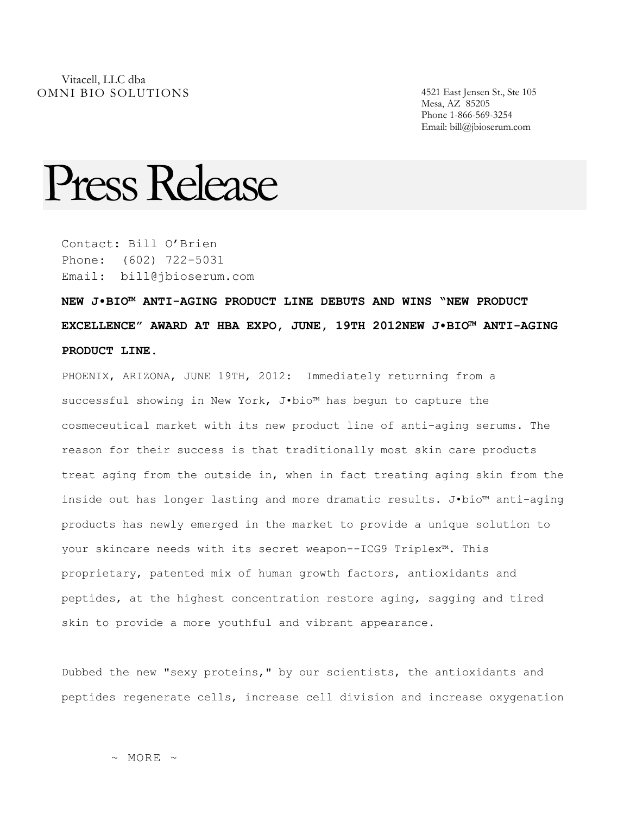Mesa, AZ 85205 Phone 1-866-569-3254 Email: bill@jbioserum.com

## Press Release

Contact: Bill O'Brien Phone: (602) 722-5031 Email: bill@jbioserum.com

**NEW J•BIO™ ANTI-AGING PRODUCT LINE DEBUTS AND WINS "NEW PRODUCT EXCELLENCE" AWARD AT HBA EXPO, JUNE, 19TH 2012NEW J•BIO™ ANTI-AGING PRODUCT LINE.**

PHOENIX, ARIZONA, JUNE 19TH, 2012: Immediately returning from a successful showing in New York, J•bio™ has begun to capture the cosmeceutical market with its new product line of anti-aging serums. The reason for their success is that traditionally most skin care products treat aging from the outside in, when in fact treating aging skin from the inside out has longer lasting and more dramatic results. J•bio™ anti-aging products has newly emerged in the market to provide a unique solution to your skincare needs with its secret weapon--ICG9 Triplex™. This proprietary, patented mix of human growth factors, antioxidants and peptides, at the highest concentration restore aging, sagging and tired skin to provide a more youthful and vibrant appearance.

Dubbed the new "sexy proteins," by our scientists, the antioxidants and peptides regenerate cells, increase cell division and increase oxygenation